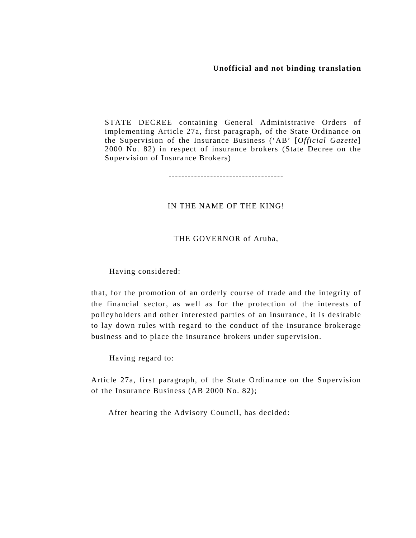**Unofficial and not binding translation** 

STATE DECREE containing General Administrative Orders of implementing Article 27a, first paragraph, of the State Ordinance on the Supervision of the Insurance Business ('AB' [*Official Gazette*] 2000 No. 82) in respect of insurance brokers (State Decree on the Supervision of Insurance Brokers)

------------------------------------

# IN THE NAME OF THE KING!

### THE GOVERNOR of Aruba,

Having considered:

that, for the promotion of an orderly course of trade and the integrity of the financial sector, as well as for the protection of the interests of policyholders and other interested parties of an insurance, it is desirable to lay down rules with regard to the conduct of the insurance brokerage business and to place the insurance brokers under supervision.

Having regard to:

Article 27a, first paragraph, of the State Ordinance on the Supervision of the Insurance Business (AB 2000 No. 82);

After hearing the Advisory Council, has decided: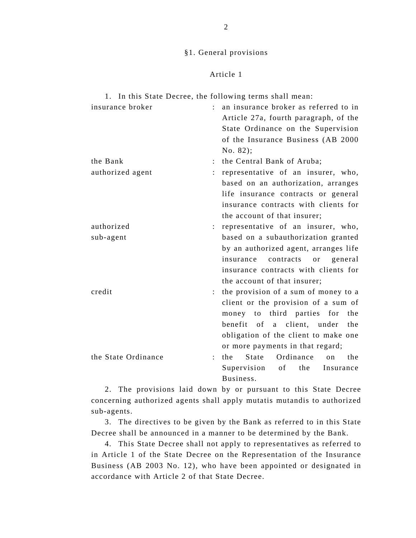## §1. General provisions

## Article 1

| 1. In this State Decree, the following terms shall mean: |                           |                                                |
|----------------------------------------------------------|---------------------------|------------------------------------------------|
| insurance broker                                         | $\mathbb{R}^{\mathbb{Z}}$ | an insurance broker as referred to in          |
|                                                          |                           | Article 27a, fourth paragraph, of the          |
|                                                          |                           | State Ordinance on the Supervision             |
|                                                          |                           | of the Insurance Business (AB 2000             |
|                                                          |                           | No. 82);                                       |
| the Bank                                                 |                           | the Central Bank of Aruba;                     |
| authorized agent                                         |                           | representative of an insurer, who,             |
|                                                          |                           | based on an authorization, arranges            |
|                                                          |                           | life insurance contracts or general            |
|                                                          |                           | insurance contracts with clients for           |
|                                                          |                           | the account of that insurer;                   |
| authorized                                               |                           | representative of an insurer, who,             |
| sub-agent                                                |                           | based on a subauthorization granted            |
|                                                          |                           | by an authorized agent, arranges life          |
|                                                          |                           | insurance contracts<br>general<br>or           |
|                                                          |                           | insurance contracts with clients for           |
|                                                          |                           | the account of that insurer;                   |
| credit                                                   |                           | the provision of a sum of money to a           |
|                                                          |                           | client or the provision of a sum of            |
|                                                          |                           | money to third parties for<br>the              |
|                                                          |                           | benefit of a client, under<br>the              |
|                                                          |                           | obligation of the client to make one           |
|                                                          |                           | or more payments in that regard;               |
| the State Ordinance                                      |                           | State<br>Ordinance<br>the<br>the<br>$\alpha$ n |
|                                                          |                           | Supervision<br>of<br>the<br>Insurance          |
|                                                          |                           | Business.                                      |

 2. The provisions laid down by or pursuant to this State Decree concerning authorized agents shall apply mutatis mutandis to authorized sub-agents.

 3. The directives to be given by the Bank as referred to in this State Decree shall be announced in a manner to be determined by the Bank.

 4. This State Decree shall not apply to representatives as referred to in Article 1 of the State Decree on the Representation of the Insurance Business (AB 2003 No. 12), who have been appointed or designated in accordance with Article 2 of that State Decree.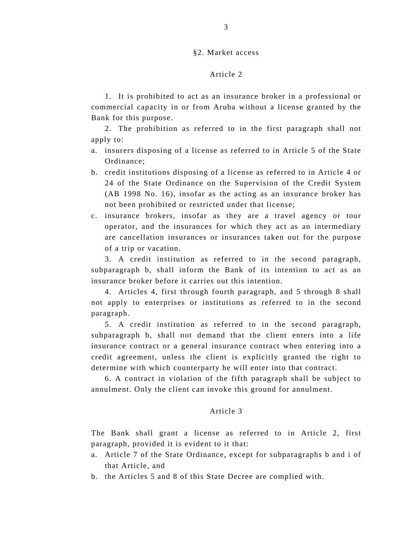#### §2. Market access

## Article 2

 1. It is prohibited to act as an insurance broker in a professional or commercial capacity in or from Aruba without a license granted by the Bank for this purpose.

 2. The prohibition as referred to in the first paragraph shall not apply to:

- a. insurers disposing of a license as referred to in Article 5 of the State Ordinance;
- b. credit institutions disposing of a license as referred to in Article 4 or 24 of the State Ordinance on the Supervision of the Credit System (AB 1998 No. 16), insofar as the acting as an insurance broker has not been prohibited or restricted under that license;
- c. insurance brokers, insofar as they are a travel agency or tour operator, and the insurances for which they act as an intermediary are cancellation insurances or insurances taken out for the purpose of a trip or vacation.

 3. A credit institution as referred to in the second paragraph, subparagraph b, shall inform the Bank of its intention to act as an insurance broker before it carries out this intention.

 4. Articles 4, first through fourth paragraph, and 5 through 8 shall not apply to enterprises or institutions as referred to in the second paragraph.

 5. A credit institution as referred to in the second paragraph, subparagraph b, shall not demand that the client enters into a life insurance contract or a general insurance contract when entering into a credit agreement, unless the client is explicitly granted the right to determine with which counterparty he will enter into that contract.

 6. A contract in violation of the fifth paragraph shall be subject to annulment. Only the client can invoke this ground for annulment.

## Article 3

The Bank shall grant a license as referred to in Article 2, first paragraph, provided it is evident to it that:

- a. Article 7 of the State Ordinance, except for subparagraphs b and i of that Article, and
- b. the Articles 5 and 8 of this State Decree are complied with.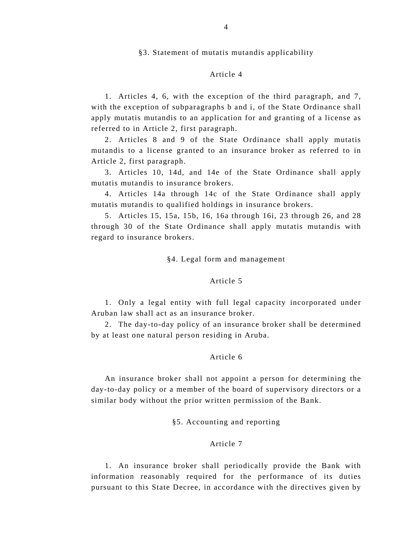§3. Statement of mutatis mutandis applicability

## Article 4

 1. Articles 4, 6, with the exception of the third paragraph, and 7, with the exception of subparagraphs b and i, of the State Ordinance shall apply mutatis mutandis to an application for and granting of a license as referred to in Article 2, first paragraph.

 2. Articles 8 and 9 of the State Ordinance shall apply mutatis mutandis to a license granted to an insurance broker as referred to in Article 2, first paragraph.

 3. Articles 10, 14d, and 14e of the State Ordinance shall apply mutatis mutandis to insurance brokers.

 4. Articles 14a through 14c of the State Ordinance shall apply mutatis mutandis to qualified holdings in insurance brokers.

 5. Articles 15, 15a, 15b, 16, 16a through 16i, 23 through 26, and 28 through 30 of the State Ordinance shall apply mutatis mutandis with regard to insurance brokers.

#### §4. Legal form and management

## Article 5

 1. Only a legal entity with full legal capacity incorporated under Aruban law shall act as an insurance broker.

 2. The day-to-day policy of an insurance broker shall be determined by at least one natural person residing in Aruba.

## Article 6

 An insurance broker shall not appoint a person for determining the day-to-day policy or a member of the board of supervisory directors or a similar body without the prior written permission of the Bank.

§5. Accounting and reporting

#### Article 7

 1. An insurance broker shall periodically provide the Bank with information reasonably required for the performance of its duties pursuant to this State Decree, in accordance with the directives given by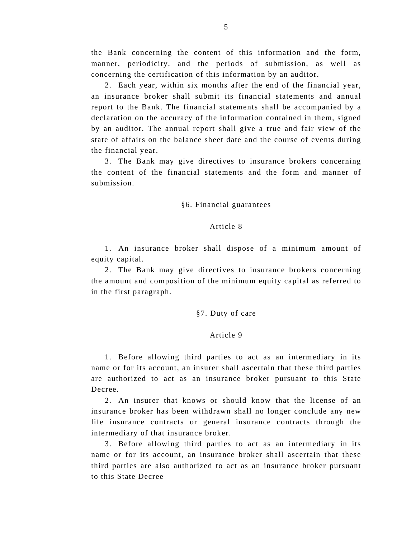the Bank concerning the content of this information and the form, manner, periodicity, and the periods of submission, as well as concerning the certification of this information by an auditor.

 2. Each year, within six months after the end of the financial year, an insurance broker shall submit its financial statements and annual report to the Bank. The financial statements shall be accompanied by a declaration on the accuracy of the information contained in them, signed by an auditor. The annual report shall give a true and fair view of the state of affairs on the balance sheet date and the course of events during the financial year.

 3. The Bank may give directives to insurance brokers concerning the content of the financial statements and the form and manner of submission.

#### §6. Financial guarantees

#### Article 8

 1. An insurance broker shall dispose of a minimum amount of equity capital.

 2. The Bank may give directives to insurance brokers concerning the amount and composition of the minimum equity capital as referred to in the first paragraph.

### §7. Duty of care

#### Article 9

 1. Before allowing third parties to act as an intermediary in its name or for its account, an insurer shall ascertain that these third parties are authorized to act as an insurance broker pursuant to this State Decree.

 2. An insurer that knows or should know that the license of an insurance broker has been withdrawn shall no longer conclude any new life insurance contracts or general insurance contracts through the intermediary of that insurance broker.

 3. Before allowing third parties to act as an intermediary in its name or for its account, an insurance broker shall ascertain that these third parties are also authorized to act as an insurance broker pursuant to this State Decree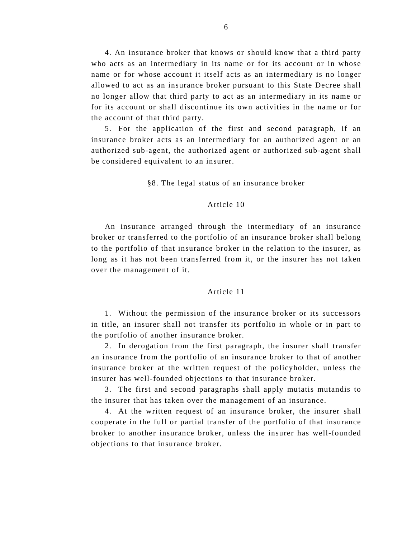4. An insurance broker that knows or should know that a third party who acts as an intermediary in its name or for its account or in whose name or for whose account it itself acts as an intermediary is no longer allowed to act as an insurance broker pursuant to this State Decree shall no longer allow that third party to act as an intermediary in its name or for its account or shall discontinue its own activities in the name or for the account of that third party.

 5. For the application of the first and second paragraph, if an insurance broker acts as an intermediary for an authorized agent or an authorized sub-agent, the authorized agent or authorized sub-agent shall be considered equivalent to an insurer.

§8. The legal status of an insurance broker

#### Article 10

 An insurance arranged through the intermediary of an insurance broker or transferred to the portfolio of an insurance broker shall belong to the portfolio of that insurance broker in the relation to the insurer, as long as it has not been transferred from it, or the insurer has not taken over the management of it.

## Article 11

 1. Without the permission of the insurance broker or its successors in title, an insurer shall not transfer its portfolio in whole or in part to the portfolio of another insurance broker.

 2. In derogation from the first paragraph, the insurer shall transfer an insurance from the portfolio of an insurance broker to that of another insurance broker at the written request of the policyholder, unless the insurer has well-founded objections to that insurance broker.

 3. The first and second paragraphs shall apply mutatis mutandis to the insurer that has taken over the management of an insurance.

 4. At the written request of an insurance broker, the insurer shall cooperate in the full or partial transfer of the portfolio of that insurance broker to another insurance broker, unless the insurer has well-founded objections to that insurance broker.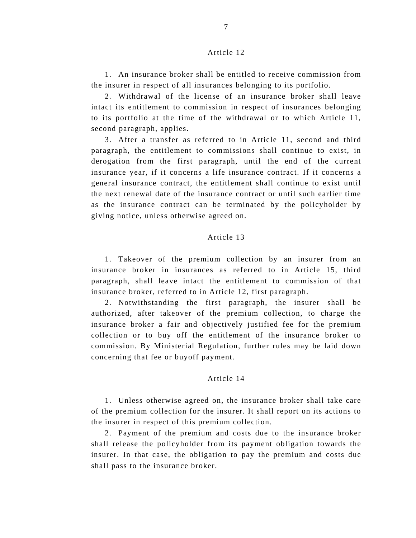## Article 12

 1. An insurance broker shall be entitled to receive commission from the insurer in respect of all insurances belonging to its portfolio.

 2. Withdrawal of the license of an insurance broker shall leave intact its entitlement to commission in respect of insurances belonging to its portfolio at the time of the withdrawal or to which Article 11, second paragraph, applies.

 3. After a transfer as referred to in Article 11, second and third paragraph, the entitlement to commissions shall continue to exist, in derogation from the first paragraph, until the end of the current insurance year, if it concerns a life insurance contract. If it concerns a general insurance contract, the entitlement shall continue to exist until the next renewal date of the insurance contract or until such earlier time as the insurance contract can be terminated by the policyholder by giving notice, unless otherwise agreed on.

## Article 13

 1. Takeover of the premium collection by an insurer from an insurance broker in insurances as referred to in Article 15, third paragraph, shall leave intact the entitlement to commission of that insurance broker, referred to in Article 12, first paragraph.

 2. Notwithstanding the first paragraph, the insurer shall be authorized, after takeover of the premium collection, to charge the insurance broker a fair and objectively justified fee for the premium collection or to buy off the entitlement of the insurance broker to commission. By Ministerial Regulation, further rules may be laid down concerning that fee or buyoff payment.

#### Article 14

 1. Unless otherwise agreed on, the insurance broker shall take care of the premium collection for the insurer. It shall report on its actions to the insurer in respect of this premium collection.

 2. Payment of the premium and costs due to the insurance broker shall release the policyholder from its payment obligation towards the insurer. In that case, the obligation to pay the premium and costs due shall pass to the insurance broker.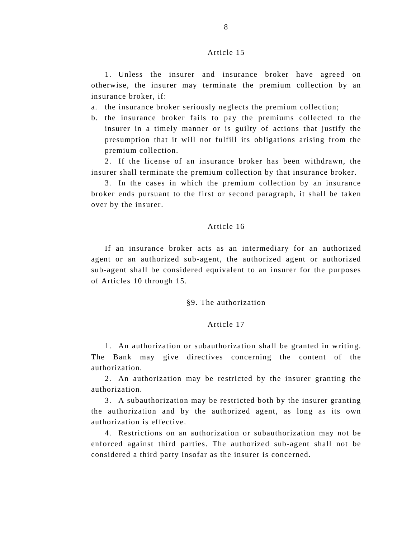## Article 15

 1. Unless the insurer and insurance broker have agreed on otherwise, the insurer may terminate the premium collection by an insurance broker, if:

- a. the insurance broker seriously neglects the premium collection;
- b. the insurance broker fails to pay the premiums collected to the insurer in a timely manner or is guilty of actions that justify the presumption that it will not fulfill its obligations arising from the premium collection.

 2. If the license of an insurance broker has been withdrawn, the insurer shall terminate the premium collection by that insurance broker.

 3. In the cases in which the premium collection by an insurance broker ends pursuant to the first or second paragraph, it shall be taken over by the insurer.

## Article 16

 If an insurance broker acts as an intermediary for an authorized agent or an authorized sub-agent, the authorized agent or authorized sub-agent shall be considered equivalent to an insurer for the purposes of Articles 10 through 15.

#### §9. The authorization

#### Article 17

 1. An authorization or subauthorization shall be granted in writing. The Bank may give directives concerning the content of the authorization.

 2. An authorization may be restricted by the insurer granting the authorization.

 3. A subauthorization may be restricted both by the insurer granting the authorization and by the authorized agent, as long as its own authorization is effective.

 4. Restrictions on an authorization or subauthorization may not be enforced against third parties. The authorized sub-agent shall not be considered a third party insofar as the insurer is concerned.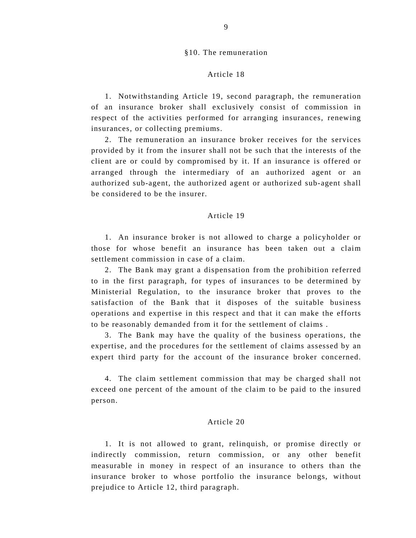## §10. The remuneration

## Article 18

 1. Notwithstanding Article 19, second paragraph, the remuneration of an insurance broker shall exclusively consist of commission in respect of the activities performed for arranging insurances, renewing insurances, or collecting premiums.

 2. The remuneration an insurance broker receives for the services provided by it from the insurer shall not be such that the interests of the client are or could by compromised by it. If an insurance is offered or arranged through the intermediary of an authorized agent or an authorized sub-agent, the authorized agent or authorized sub-agent shall be considered to be the insurer.

#### Article 19

 1. An insurance broker is not allowed to charge a policyholder or those for whose benefit an insurance has been taken out a claim settlement commission in case of a claim.

 2. The Bank may grant a dispensation from the prohibition referred to in the first paragraph, for types of insurances to be determined by Ministerial Regulation, to the insurance broker that proves to the satisfaction of the Bank that it disposes of the suitable business operations and expertise in this respect and that it can make the efforts to be reasonably demanded from it for the settlement of claims .

 3. The Bank may have the quality of the business operations, the expertise, and the procedures for the settlement of claims assessed by an expert third party for the account of the insurance broker concerned.

 4. The claim settlement commission that may be charged shall not exceed one percent of the amount of the claim to be paid to the insured person.

# Article 20

 1. It is not allowed to grant, relinquish, or promise directly or indirectly commission, return commission, or any other benefit measurable in money in respect of an insurance to others than the insurance broker to whose portfolio the insurance belongs, without prejudice to Article 12, third paragraph.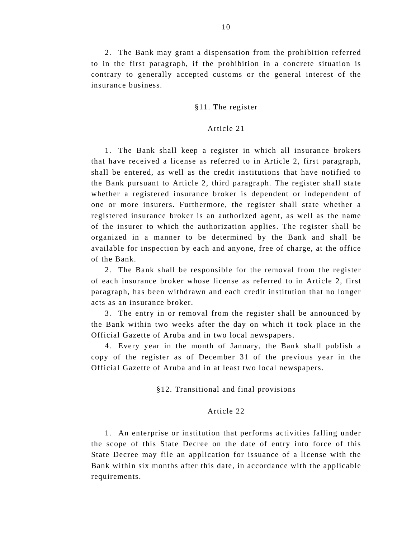2. The Bank may grant a dispensation from the prohibition referred to in the first paragraph, if the prohibition in a concrete situation is contrary to generally accepted customs or the general interest of the insurance business.

### §11. The register

### Article 21

 1. The Bank shall keep a register in which all insurance brokers that have received a license as referred to in Article 2, first paragraph, shall be entered, as well as the credit institutions that have notified to the Bank pursuant to Article 2, third paragraph. The register shall state whether a registered insurance broker is dependent or independent of one or more insurers. Furthermore, the register shall state whether a registered insurance broker is an authorized agent, as well as the name of the insurer to which the authorization applies. The register shall be organized in a manner to be determined by the Bank and shall be available for inspection by each and anyone, free of charge, at the office of the Bank.

 2. The Bank shall be responsible for the removal from the register of each insurance broker whose license as referred to in Article 2, first paragraph, has been withdrawn and each credit institution that no longer acts as an insurance broker.

 3. The entry in or removal from the register shall be announced by the Bank within two weeks after the day on which it took place in the Official Gazette of Aruba and in two local newspapers.

 4. Every year in the month of January, the Bank shall publish a copy of the register as of December 31 of the previous year in the Official Gazette of Aruba and in at least two local newspapers.

§12. Transitional and final provisions

## Article 22

 1. An enterprise or institution that performs activities falling under the scope of this State Decree on the date of entry into force of this State Decree may file an application for issuance of a license with the Bank within six months after this date, in accordance with the applicable requirements.